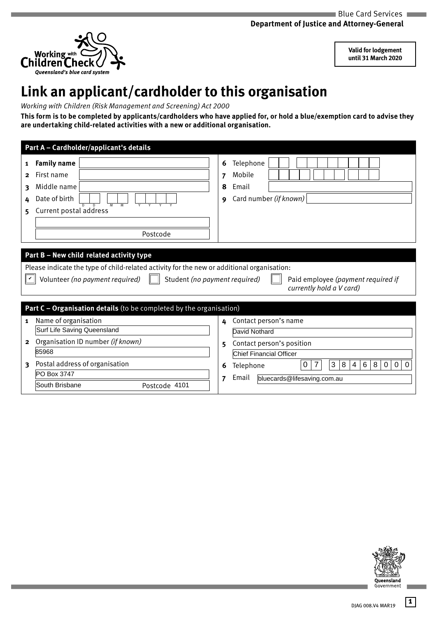

**Valid for lodgement until 31 March 2020**

## **Link an applicant/cardholder to this organisation**

*Working with Children (Risk Management and Screening) Act 2000* 

**This form is to be completed by applicants/cardholders who have applied for, or hold a blue/exemption card to advise they are undertaking child-related activities with a new or additional organisation.** 

|                                  | Part A - Cardholder/applicant's details                                                                                                                                                                    |                  |                                                                                                                         |
|----------------------------------|------------------------------------------------------------------------------------------------------------------------------------------------------------------------------------------------------------|------------------|-------------------------------------------------------------------------------------------------------------------------|
| 1<br>$\mathbf{2}$<br>3<br>4<br>5 | <b>Family name</b><br>First name<br>Middle name<br>Date of birth<br>Current postal address<br>Postcode                                                                                                     | 6<br>7<br>8<br>9 | Telephone<br>Mobile<br>Email<br>Card number (if known)                                                                  |
|                                  |                                                                                                                                                                                                            |                  |                                                                                                                         |
|                                  |                                                                                                                                                                                                            |                  |                                                                                                                         |
|                                  | Part B - New child related activity type<br>Please indicate the type of child-related activity for the new or additional organisation:<br>Volunteer (no payment required)<br>Student (no payment required) |                  | Paid employee (payment required if<br>currently hold a V card)                                                          |
|                                  |                                                                                                                                                                                                            |                  |                                                                                                                         |
|                                  | Part C - Organisation details (to be completed by the organisation)                                                                                                                                        |                  |                                                                                                                         |
| 1                                | Name of organisation                                                                                                                                                                                       | 4                | Contact person's name                                                                                                   |
|                                  | Surf Life Saving Queensland                                                                                                                                                                                |                  | David Nothard                                                                                                           |
| 2                                | Organisation ID number (if known)                                                                                                                                                                          | 5                | Contact person's position                                                                                               |
|                                  | 85968                                                                                                                                                                                                      |                  | <b>Chief Financial Officer</b>                                                                                          |
| 3                                | Postal address of organisation                                                                                                                                                                             | 6                | $\overline{7}$<br>3<br>$6\phantom{1}$<br>8<br>$\overline{4}$<br>8<br>$\Omega$<br>0<br>$\Omega$<br>$\Omega$<br>Telephone |
|                                  | PO Box 3747                                                                                                                                                                                                | 7                | Email<br>bluecards@lifesaving.com.au                                                                                    |



**1**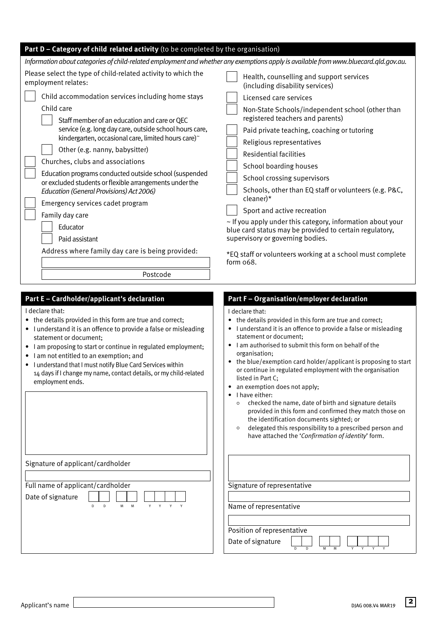| Part D - Category of child related activity (to be completed by the organisation)                                                                                                                                                                                                                                                                                                                                                                                                             |                                                                                                                                                                                                                                                                                                                                                                                                                                                                                                                                                                                                                                                                                                                                                                                                             |
|-----------------------------------------------------------------------------------------------------------------------------------------------------------------------------------------------------------------------------------------------------------------------------------------------------------------------------------------------------------------------------------------------------------------------------------------------------------------------------------------------|-------------------------------------------------------------------------------------------------------------------------------------------------------------------------------------------------------------------------------------------------------------------------------------------------------------------------------------------------------------------------------------------------------------------------------------------------------------------------------------------------------------------------------------------------------------------------------------------------------------------------------------------------------------------------------------------------------------------------------------------------------------------------------------------------------------|
| Information about categories of child-related employment and whether any exemptions apply is available from www.bluecard.qld.gov.au.                                                                                                                                                                                                                                                                                                                                                          |                                                                                                                                                                                                                                                                                                                                                                                                                                                                                                                                                                                                                                                                                                                                                                                                             |
| Please select the type of child-related activity to which the                                                                                                                                                                                                                                                                                                                                                                                                                                 | Health, counselling and support services                                                                                                                                                                                                                                                                                                                                                                                                                                                                                                                                                                                                                                                                                                                                                                    |
| employment relates:                                                                                                                                                                                                                                                                                                                                                                                                                                                                           | (including disability services)                                                                                                                                                                                                                                                                                                                                                                                                                                                                                                                                                                                                                                                                                                                                                                             |
| Child accommodation services including home stays                                                                                                                                                                                                                                                                                                                                                                                                                                             | Licensed care services                                                                                                                                                                                                                                                                                                                                                                                                                                                                                                                                                                                                                                                                                                                                                                                      |
| Child care                                                                                                                                                                                                                                                                                                                                                                                                                                                                                    | Non-State Schools/independent school (other than                                                                                                                                                                                                                                                                                                                                                                                                                                                                                                                                                                                                                                                                                                                                                            |
| Staff member of an education and care or QEC                                                                                                                                                                                                                                                                                                                                                                                                                                                  | registered teachers and parents)                                                                                                                                                                                                                                                                                                                                                                                                                                                                                                                                                                                                                                                                                                                                                                            |
| service (e.g. long day care, outside school hours care,                                                                                                                                                                                                                                                                                                                                                                                                                                       | Paid private teaching, coaching or tutoring                                                                                                                                                                                                                                                                                                                                                                                                                                                                                                                                                                                                                                                                                                                                                                 |
| kindergarten, occasional care, limited hours care)~                                                                                                                                                                                                                                                                                                                                                                                                                                           | Religious representatives                                                                                                                                                                                                                                                                                                                                                                                                                                                                                                                                                                                                                                                                                                                                                                                   |
| Other (e.g. nanny, babysitter)                                                                                                                                                                                                                                                                                                                                                                                                                                                                | <b>Residential facilities</b>                                                                                                                                                                                                                                                                                                                                                                                                                                                                                                                                                                                                                                                                                                                                                                               |
| Churches, clubs and associations                                                                                                                                                                                                                                                                                                                                                                                                                                                              | School boarding houses                                                                                                                                                                                                                                                                                                                                                                                                                                                                                                                                                                                                                                                                                                                                                                                      |
| Education programs conducted outside school (suspended                                                                                                                                                                                                                                                                                                                                                                                                                                        | School crossing supervisors                                                                                                                                                                                                                                                                                                                                                                                                                                                                                                                                                                                                                                                                                                                                                                                 |
| or excluded students or flexible arrangements under the                                                                                                                                                                                                                                                                                                                                                                                                                                       | Schools, other than EQ staff or volunteers (e.g. P&C,                                                                                                                                                                                                                                                                                                                                                                                                                                                                                                                                                                                                                                                                                                                                                       |
| Education (General Provisions) Act 2006)                                                                                                                                                                                                                                                                                                                                                                                                                                                      | cleaner)*                                                                                                                                                                                                                                                                                                                                                                                                                                                                                                                                                                                                                                                                                                                                                                                                   |
| Emergency services cadet program                                                                                                                                                                                                                                                                                                                                                                                                                                                              | Sport and active recreation                                                                                                                                                                                                                                                                                                                                                                                                                                                                                                                                                                                                                                                                                                                                                                                 |
| Family day care                                                                                                                                                                                                                                                                                                                                                                                                                                                                               | $\sim$ If you apply under this category, information about your                                                                                                                                                                                                                                                                                                                                                                                                                                                                                                                                                                                                                                                                                                                                             |
| Educator                                                                                                                                                                                                                                                                                                                                                                                                                                                                                      | blue card status may be provided to certain regulatory,                                                                                                                                                                                                                                                                                                                                                                                                                                                                                                                                                                                                                                                                                                                                                     |
| Paid assistant                                                                                                                                                                                                                                                                                                                                                                                                                                                                                | supervisory or governing bodies.                                                                                                                                                                                                                                                                                                                                                                                                                                                                                                                                                                                                                                                                                                                                                                            |
| Address where family day care is being provided:                                                                                                                                                                                                                                                                                                                                                                                                                                              | *EQ staff or volunteers working at a school must complete                                                                                                                                                                                                                                                                                                                                                                                                                                                                                                                                                                                                                                                                                                                                                   |
| Postcode                                                                                                                                                                                                                                                                                                                                                                                                                                                                                      | form 068.                                                                                                                                                                                                                                                                                                                                                                                                                                                                                                                                                                                                                                                                                                                                                                                                   |
| Part E - Cardholder/applicant's declaration<br>I declare that:<br>• the details provided in this form are true and correct;<br>• I understand it is an offence to provide a false or misleading<br>statement or document:<br>• I am proposing to start or continue in regulated employment;<br>I am not entitled to an exemption; and<br>• I understand that I must notify Blue Card Services within<br>14 days if I change my name, contact details, or my child-related<br>employment ends. | Part F - Organisation/employer declaration<br>I declare that:<br>the details provided in this form are true and correct;<br>I understand it is an offence to provide a false or misleading<br>statement or document;<br>I am authorised to submit this form on behalf of the<br>organisation;<br>the blue/exemption card holder/applicant is proposing to start<br>or continue in regulated employment with the organisation<br>listed in Part C;<br>an exemption does not apply;<br>I have either:<br>checked the name, date of birth and signature details<br>$\circ$<br>provided in this form and confirmed they match those on<br>the identification documents sighted; or<br>delegated this responsibility to a prescribed person and<br>$\circ$<br>have attached the 'Confirmation of identity' form. |
| Signature of applicant/cardholder                                                                                                                                                                                                                                                                                                                                                                                                                                                             | Signature of representative                                                                                                                                                                                                                                                                                                                                                                                                                                                                                                                                                                                                                                                                                                                                                                                 |
| Full name of applicant/cardholder                                                                                                                                                                                                                                                                                                                                                                                                                                                             | Name of representative                                                                                                                                                                                                                                                                                                                                                                                                                                                                                                                                                                                                                                                                                                                                                                                      |
| Date of signature                                                                                                                                                                                                                                                                                                                                                                                                                                                                             | Position of representative                                                                                                                                                                                                                                                                                                                                                                                                                                                                                                                                                                                                                                                                                                                                                                                  |
| $\mathsf D$                                                                                                                                                                                                                                                                                                                                                                                                                                                                                   | Date of signature                                                                                                                                                                                                                                                                                                                                                                                                                                                                                                                                                                                                                                                                                                                                                                                           |
| D                                                                                                                                                                                                                                                                                                                                                                                                                                                                                             | $\overline{D}$                                                                                                                                                                                                                                                                                                                                                                                                                                                                                                                                                                                                                                                                                                                                                                                              |
| M                                                                                                                                                                                                                                                                                                                                                                                                                                                                                             | $\overline{D}$                                                                                                                                                                                                                                                                                                                                                                                                                                                                                                                                                                                                                                                                                                                                                                                              |
| M                                                                                                                                                                                                                                                                                                                                                                                                                                                                                             | M                                                                                                                                                                                                                                                                                                                                                                                                                                                                                                                                                                                                                                                                                                                                                                                                           |